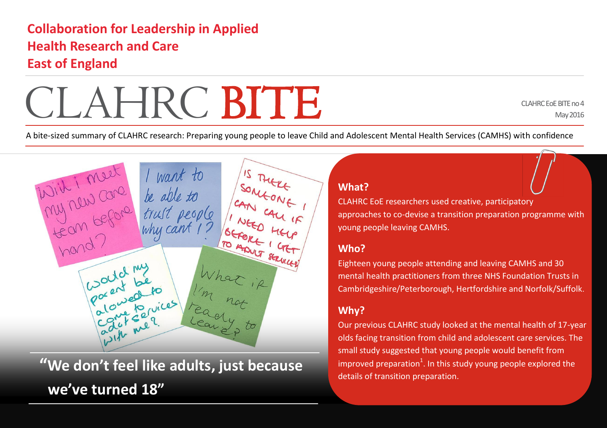# **Collaboration for Leadership in Applied Health Research and Care East of England**

With i meet I want to<br>My new core de able to<br>team before trust people

Could my<br>Pocent be

Ponices

My rew care

hand?



CLAHRC EoE BITE no 4 May 2016

A bite-sized summary of CLAHRC research: Preparing young people to leave Child and Adolescent Mental Health Services (CAMHS) with confidence

BEFORE HELP

TO ADVIT SERVICE



CLAHRC EoE researchers used creative, participatory approaches to co-devise a transition preparation programme with young people leaving CAMHS.

### **Who?**

Eighteen young people attending and leaving CAMHS and 30 mental health practitioners from three NHS Foundation Trusts in Cambridgeshire/Peterborough, Hertfordshire and Norfolk/Suffolk.

## **Why?**

Our previous CLAHRC study looked at the mental health of 17-year olds facing transition from child and adolescent care services. The small study suggested that young people would benefit from improved preparation $^1$ . In this study young people explored the details of transition preparation.

**"We don't feel like adults, just because we've turned 18"**